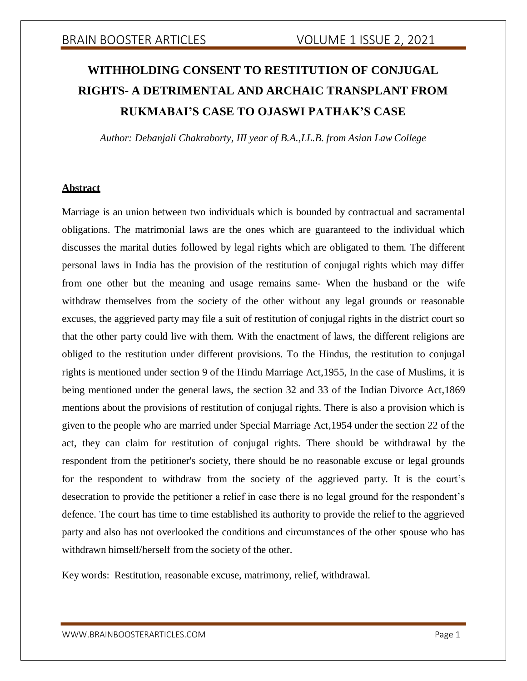# **WITHHOLDING CONSENT TO RESTITUTION OF CONJUGAL RIGHTS- A DETRIMENTAL AND ARCHAIC TRANSPLANT FROM RUKMABAI'S CASE TO OJASWI PATHAK'S CASE**

*Author: Debanjali Chakraborty, III year of B.A.,LL.B. from Asian Law College*

### **Abstract**

Marriage is an union between two individuals which is bounded by contractual and sacramental obligations. The matrimonial laws are the ones which are guaranteed to the individual which discusses the marital duties followed by legal rights which are obligated to them. The different personal laws in India has the provision of the restitution of conjugal rights which may differ from one other but the meaning and usage remains same- When the husband or the wife withdraw themselves from the society of the other without any legal grounds or reasonable excuses, the aggrieved party may file a suit of restitution of conjugal rights in the district court so that the other party could live with them. With the enactment of laws, the different religions are obliged to the restitution under different provisions. To the Hindus, the restitution to conjugal rights is mentioned under section 9 of the Hindu Marriage Act,1955, In the case of Muslims, it is being mentioned under the general laws, the section 32 and 33 of the Indian Divorce Act,1869 mentions about the provisions of restitution of conjugal rights. There is also a provision which is given to the people who are married under Special Marriage Act,1954 under the section 22 of the act, they can claim for restitution of conjugal rights. There should be withdrawal by the respondent from the petitioner's society, there should be no reasonable excuse or legal grounds for the respondent to withdraw from the society of the aggrieved party. It is the court's desecration to provide the petitioner a relief in case there is no legal ground for the respondent's defence. The court has time to time established its authority to provide the relief to the aggrieved party and also has not overlooked the conditions and circumstances of the other spouse who has withdrawn himself/herself from the society of the other.

Key words: Restitution, reasonable excuse, matrimony, relief, withdrawal.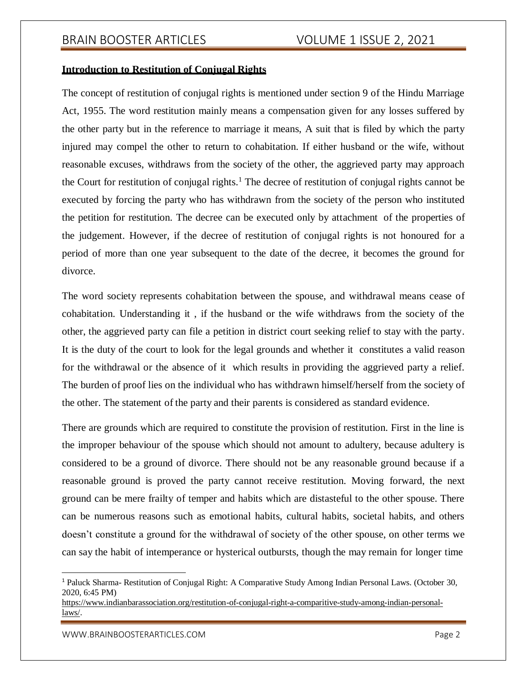### **Introduction to Restitution of Conjugal Rights**

The concept of restitution of conjugal rights is mentioned under section 9 of the Hindu Marriage Act, 1955. The word restitution mainly means a compensation given for any losses suffered by the other party but in the reference to marriage it means, A suit that is filed by which the party injured may compel the other to return to cohabitation. If either husband or the wife, without reasonable excuses, withdraws from the society of the other, the aggrieved party may approach the Court for restitution of conjugal rights.<sup>1</sup> The decree of restitution of conjugal rights cannot be executed by forcing the party who has withdrawn from the society of the person who instituted the petition for restitution. The decree can be executed only by attachment of the properties of the judgement. However, if the decree of restitution of conjugal rights is not honoured for a period of more than one year subsequent to the date of the decree, it becomes the ground for divorce.

The word society represents cohabitation between the spouse, and withdrawal means cease of cohabitation. Understanding it , if the husband or the wife withdraws from the society of the other, the aggrieved party can file a petition in district court seeking relief to stay with the party. It is the duty of the court to look for the legal grounds and whether it constitutes a valid reason for the withdrawal or the absence of it which results in providing the aggrieved party a relief. The burden of proof lies on the individual who has withdrawn himself/herself from the society of the other. The statement of the party and their parents is considered as standard evidence.

There are grounds which are required to constitute the provision of restitution. First in the line is the improper behaviour of the spouse which should not amount to adultery, because adultery is considered to be a ground of divorce. There should not be any reasonable ground because if a reasonable ground is proved the party cannot receive restitution. Moving forward, the next ground can be mere frailty of temper and habits which are distasteful to the other spouse. There can be numerous reasons such as emotional habits, cultural habits, societal habits, and others doesn't constitute a ground for the withdrawal of society of the other spouse, on other terms we can say the habit of intemperance or hysterical outbursts, though the may remain for longer time

<sup>1</sup> Paluck Sharma- Restitution of Conjugal Right: A Comparative Study Among Indian Personal Laws. (October 30, 2020, 6:45 PM)

https:/[/www.indianbarassociation.org/restitution-of-conjugal-right-a-comparitive-study-among-indian-personal](http://www.indianbarassociation.org/restitution-of-conjugal-right-a-comparitive-study-among-indian-personal-)laws/.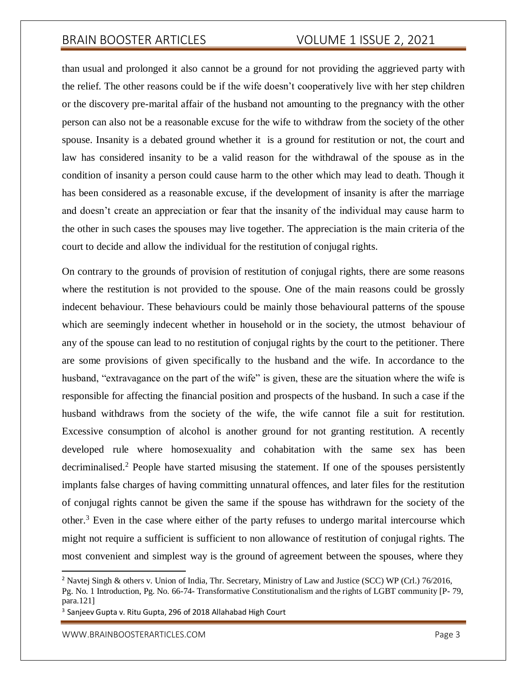than usual and prolonged it also cannot be a ground for not providing the aggrieved party with the relief. The other reasons could be if the wife doesn't cooperatively live with her step children or the discovery pre-marital affair of the husband not amounting to the pregnancy with the other person can also not be a reasonable excuse for the wife to withdraw from the society of the other spouse. Insanity is a debated ground whether it is a ground for restitution or not, the court and law has considered insanity to be a valid reason for the withdrawal of the spouse as in the condition of insanity a person could cause harm to the other which may lead to death. Though it has been considered as a reasonable excuse, if the development of insanity is after the marriage and doesn't create an appreciation or fear that the insanity of the individual may cause harm to the other in such cases the spouses may live together. The appreciation is the main criteria of the court to decide and allow the individual for the restitution of conjugal rights.

On contrary to the grounds of provision of restitution of conjugal rights, there are some reasons where the restitution is not provided to the spouse. One of the main reasons could be grossly indecent behaviour. These behaviours could be mainly those behavioural patterns of the spouse which are seemingly indecent whether in household or in the society, the utmost behaviour of any of the spouse can lead to no restitution of conjugal rights by the court to the petitioner. There are some provisions of given specifically to the husband and the wife. In accordance to the husband, "extravagance on the part of the wife" is given, these are the situation where the wife is responsible for affecting the financial position and prospects of the husband. In such a case if the husband withdraws from the society of the wife, the wife cannot file a suit for restitution. Excessive consumption of alcohol is another ground for not granting restitution. A recently developed rule where homosexuality and cohabitation with the same sex has been decriminalised.<sup>2</sup> People have started misusing the statement. If one of the spouses persistently implants false charges of having committing unnatural offences, and later files for the restitution of conjugal rights cannot be given the same if the spouse has withdrawn for the society of the other.<sup>3</sup> Even in the case where either of the party refuses to undergo marital intercourse which might not require a sufficient is sufficient to non allowance of restitution of conjugal rights. The most convenient and simplest way is the ground of agreement between the spouses, where they

<sup>2</sup> Navtej Singh & others v. Union of India, Thr. Secretary, Ministry of Law and Justice (SCC) WP (Crl.) 76/2016,

Pg. No. 1 Introduction, Pg. No. 66-74- Transformative Constitutionalism and the rights of LGBT community [P- 79, para.121]

<sup>&</sup>lt;sup>3</sup> Sanjeev Gupta v. Ritu Gupta, 296 of 2018 Allahabad High Court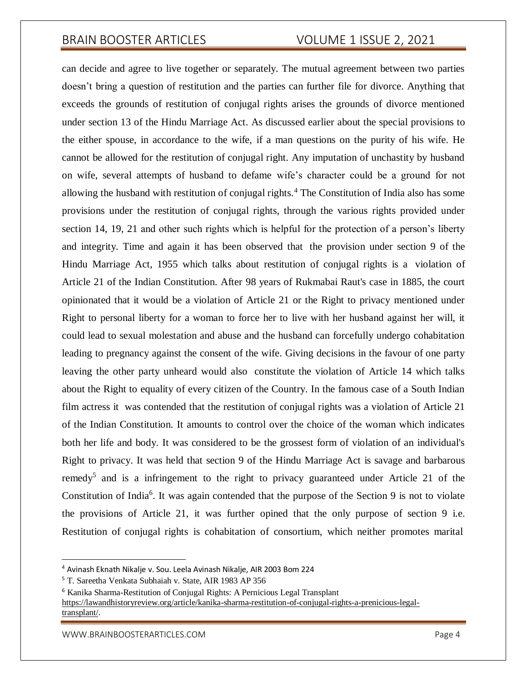can decide and agree to live together or separately. The mutual agreement between two parties doesn't bring a question of restitution and the parties can further file for divorce. Anything that exceeds the grounds of restitution of conjugal rights arises the grounds of divorce mentioned under section 13 of the Hindu Marriage Act. As discussed earlier about the special provisions to the either spouse, in accordance to the wife, if a man questions on the purity of his wife. He cannot be allowed for the restitution of conjugal right. Any imputation of unchastity by husband on wife, several attempts of husband to defame wife's character could be a ground for not allowing the husband with restitution of conjugal rights.<sup>4</sup> The Constitution of India also has some provisions under the restitution of conjugal rights, through the various rights provided under section 14, 19, 21 and other such rights which is helpful for the protection of a person's liberty and integrity. Time and again it has been observed that the provision under section 9 of the Hindu Marriage Act, 1955 which talks about restitution of conjugal rights is a violation of Article 21 of the Indian Constitution. After 98 years of Rukmabai Raut's case in 1885, the court opinionated that it would be a violation of Article 21 or the Right to privacy mentioned under Right to personal liberty for a woman to force her to live with her husband against her will, it could lead to sexual molestation and abuse and the husband can forcefully undergo cohabitation leading to pregnancy against the consent of the wife. Giving decisions in the favour of one party leaving the other party unheard would also constitute the violation of Article 14 which talks about the Right to equality of every citizen of the Country. In the famous case of a South Indian film actress it was contended that the restitution of conjugal rights was a violation of Article 21 of the Indian Constitution. It amounts to control over the choice of the woman which indicates both her life and body. It was considered to be the grossest form of violation of an individual's Right to privacy. It was held that section 9 of the Hindu Marriage Act is savage and barbarous remedy<sup>5</sup> and is a infringement to the right to privacy guaranteed under Article 21 of the Constitution of India<sup>6</sup>. It was again contended that the purpose of the Section 9 is not to violate the provisions of Article 21, it was further opined that the only purpose of section 9 i.e. Restitution of conjugal rights is cohabitation of consortium, which neither promotes marital

<sup>4</sup> Avinash Eknath Nikalje v. Sou. Leela Avinash Nikalje, AIR 2003 Bom 224

<sup>5</sup> T. Sareetha Venkata Subhaiah v. State, AIR 1983 AP 356

<sup>6</sup> Kanika Sharma-Restitution of Conjugal Rights: A Pernicious Legal Transplant

https://lawandhistoryreview.org/article/kanika-sharma-restitution-of-conjugal-rights-a-prenicious-legaltransplant/.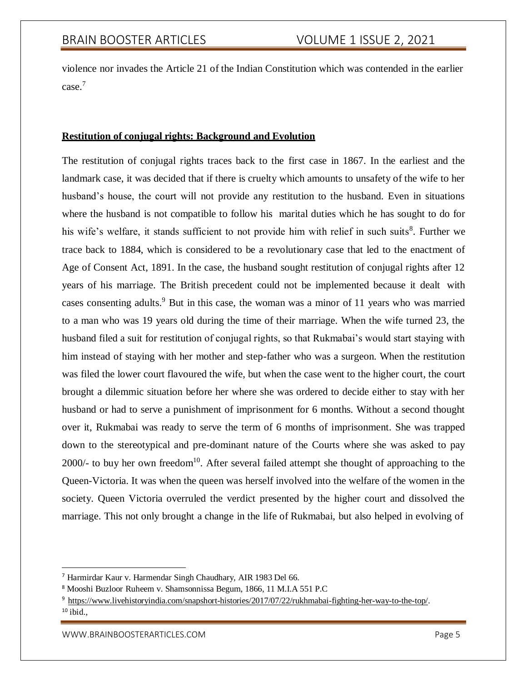violence nor invades the Article 21 of the Indian Constitution which was contended in the earlier case.<sup>7</sup>

### **Restitution of conjugal rights: Background and Evolution**

The restitution of conjugal rights traces back to the first case in 1867. In the earliest and the landmark case, it was decided that if there is cruelty which amounts to unsafety of the wife to her husband's house, the court will not provide any restitution to the husband. Even in situations where the husband is not compatible to follow his marital duties which he has sought to do for his wife's welfare, it stands sufficient to not provide him with relief in such suits<sup>8</sup>. Further we trace back to 1884, which is considered to be a revolutionary case that led to the enactment of Age of Consent Act, 1891. In the case, the husband sought restitution of conjugal rights after 12 years of his marriage. The British precedent could not be implemented because it dealt with cases consenting adults.<sup>9</sup> But in this case, the woman was a minor of 11 years who was married to a man who was 19 years old during the time of their marriage. When the wife turned 23, the husband filed a suit for restitution of conjugal rights, so that Rukmabai's would start staying with him instead of staying with her mother and step-father who was a surgeon. When the restitution was filed the lower court flavoured the wife, but when the case went to the higher court, the court brought a dilemmic situation before her where she was ordered to decide either to stay with her husband or had to serve a punishment of imprisonment for 6 months. Without a second thought over it, Rukmabai was ready to serve the term of 6 months of imprisonment. She was trapped down to the stereotypical and pre-dominant nature of the Courts where she was asked to pay  $2000/-$  to buy her own freedom<sup>10</sup>. After several failed attempt she thought of approaching to the Queen-Victoria. It was when the queen was herself involved into the welfare of the women in the society. Queen Victoria overruled the verdict presented by the higher court and dissolved the marriage. This not only brought a change in the life of Rukmabai, but also helped in evolving of

<sup>7</sup> Harmirdar Kaur v. Harmendar Singh Chaudhary, AIR 1983 Del 66.

<sup>8</sup> Mooshi Buzloor Ruheem v. Shamsonnissa Begum, 1866, 11 M.I.A 551 P.C

<sup>9</sup> https:/[/www.livehistoryindia.com/snapshort-histories/2017/07/22/rukhmabai-fighting-her-way-to-the-top/.](http://www.livehistoryindia.com/snapshort-histories/2017/07/22/rukhmabai-fighting-her-way-to-the-top/)

 $10$  ibid.,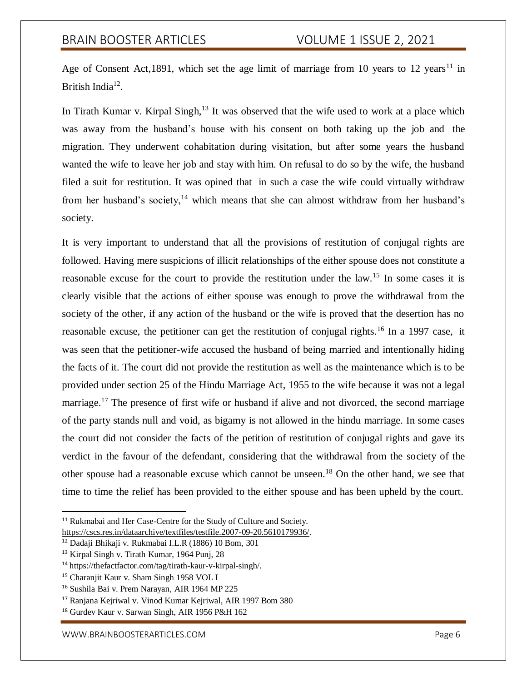Age of Consent Act,1891, which set the age limit of marriage from 10 years to 12 years<sup>11</sup> in British India<sup>12</sup>.

In Tirath Kumar v. Kirpal Singh,  $13$  It was observed that the wife used to work at a place which was away from the husband's house with his consent on both taking up the job and the migration. They underwent cohabitation during visitation, but after some years the husband wanted the wife to leave her job and stay with him. On refusal to do so by the wife, the husband filed a suit for restitution. It was opined that in such a case the wife could virtually withdraw from her husband's society,<sup>14</sup> which means that she can almost withdraw from her husband's society.

It is very important to understand that all the provisions of restitution of conjugal rights are followed. Having mere suspicions of illicit relationships of the either spouse does not constitute a reasonable excuse for the court to provide the restitution under the law.<sup>15</sup> In some cases it is clearly visible that the actions of either spouse was enough to prove the withdrawal from the society of the other, if any action of the husband or the wife is proved that the desertion has no reasonable excuse, the petitioner can get the restitution of conjugal rights.<sup>16</sup> In a 1997 case, it was seen that the petitioner-wife accused the husband of being married and intentionally hiding the facts of it. The court did not provide the restitution as well as the maintenance which is to be provided under section 25 of the Hindu Marriage Act, 1955 to the wife because it was not a legal marriage.<sup>17</sup> The presence of first wife or husband if alive and not divorced, the second marriage of the party stands null and void, as bigamy is not allowed in the hindu marriage. In some cases the court did not consider the facts of the petition of restitution of conjugal rights and gave its verdict in the favour of the defendant, considering that the withdrawal from the society of the other spouse had a reasonable excuse which cannot be unseen.<sup>18</sup> On the other hand, we see that time to time the relief has been provided to the either spouse and has been upheld by the court.

<sup>&</sup>lt;sup>11</sup> Rukmabai and Her Case-Centre for the Study of Culture and Society. https://cscs.res.in/dataarchive/textfiles/testfile.2007-09-20.5610179936/.

<sup>12</sup> Dadaji Bhikaji v. Rukmabai I.L.R (1886) 10 Bom, 301

<sup>13</sup> Kirpal Singh v. Tirath Kumar, 1964 Punj, 28

<sup>14</sup> https://thefactfactor.com/tag/tirath-kaur-v-kirpal-singh/.

<sup>15</sup> Charanjit Kaur v. Sham Singh 1958 VOL I

<sup>16</sup> Sushila Bai v. Prem Narayan, AIR 1964 MP 225

<sup>17</sup> Ranjana Kejriwal v. Vinod Kumar Kejriwal, AIR 1997 Bom 380

<sup>18</sup> Gurdev Kaur v. Sarwan Singh, AIR 1956 P&H 162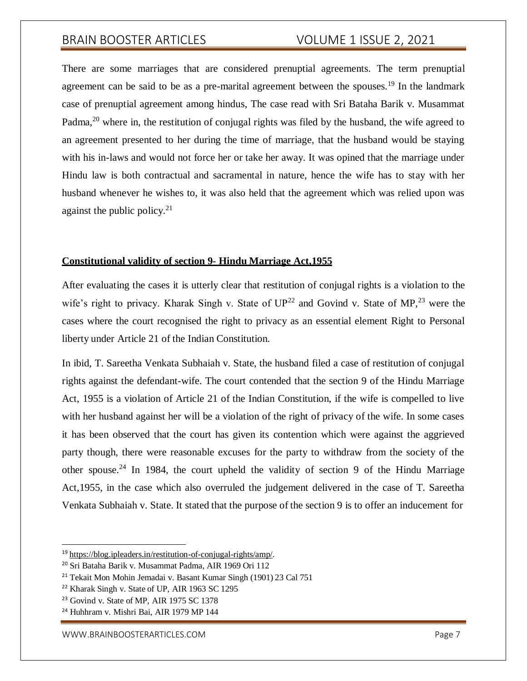There are some marriages that are considered prenuptial agreements. The term prenuptial agreement can be said to be as a pre-marital agreement between the spouses.<sup>19</sup> In the landmark case of prenuptial agreement among hindus, The case read with Sri Bataha Barik v. Musammat Padma.<sup>20</sup> where in, the restitution of conjugal rights was filed by the husband, the wife agreed to an agreement presented to her during the time of marriage, that the husband would be staying with his in-laws and would not force her or take her away. It was opined that the marriage under Hindu law is both contractual and sacramental in nature, hence the wife has to stay with her husband whenever he wishes to, it was also held that the agreement which was relied upon was against the public policy. $2<sup>1</sup>$ 

### **Constitutional validity of section 9- Hindu Marriage Act,1955**

After evaluating the cases it is utterly clear that restitution of conjugal rights is a violation to the wife's right to privacy. Kharak Singh v. State of  $UP^{22}$  and Govind v. State of MP,<sup>23</sup> were the cases where the court recognised the right to privacy as an essential element Right to Personal liberty under Article 21 of the Indian Constitution.

In ibid, T. Sareetha Venkata Subhaiah v. State, the husband filed a case of restitution of conjugal rights against the defendant-wife. The court contended that the section 9 of the Hindu Marriage Act, 1955 is a violation of Article 21 of the Indian Constitution, if the wife is compelled to live with her husband against her will be a violation of the right of privacy of the wife. In some cases it has been observed that the court has given its contention which were against the aggrieved party though, there were reasonable excuses for the party to withdraw from the society of the other spouse.<sup>24</sup> In 1984, the court upheld the validity of section 9 of the Hindu Marriage Act,1955, in the case which also overruled the judgement delivered in the case of T. Sareetha Venkata Subhaiah v. State. It stated that the purpose of the section 9 is to offer an inducement for

<sup>19</sup> https://blog.ipleaders.in/restitution-of-conjugal-rights/amp/.

<sup>20</sup> Sri Bataha Barik v. Musammat Padma, AIR 1969 Ori 112

<sup>21</sup> Tekait Mon Mohin Jemadai v. Basant Kumar Singh (1901) 23 Cal 751

<sup>22</sup> Kharak Singh v. State of UP, AIR 1963 SC 1295

<sup>&</sup>lt;sup>23</sup> Govind v. State of MP, AIR 1975 SC 1378

<sup>24</sup> Huhhram v. Mishri Bai, AIR 1979 MP 144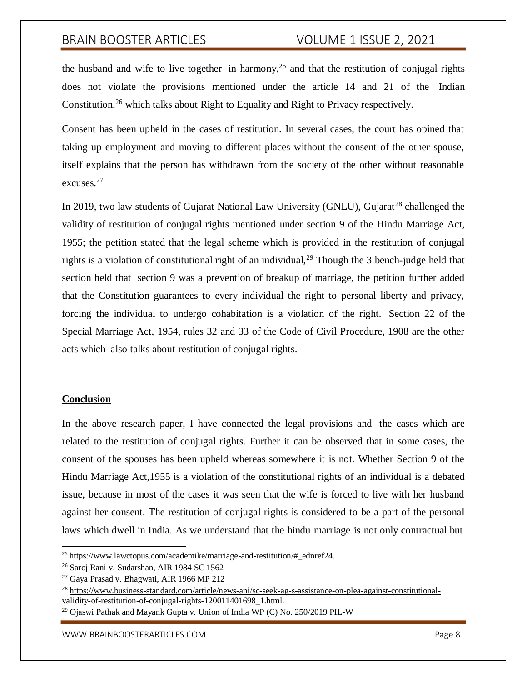the husband and wife to live together in harmony,<sup>25</sup> and that the restitution of conjugal rights does not violate the provisions mentioned under the article 14 and 21 of the Indian Constitution,<sup>26</sup> which talks about Right to Equality and Right to Privacy respectively.

Consent has been upheld in the cases of restitution. In several cases, the court has opined that taking up employment and moving to different places without the consent of the other spouse, itself explains that the person has withdrawn from the society of the other without reasonable excuses.<sup>27</sup>

In 2019, two law students of Gujarat National Law University (GNLU), Gujarat<sup>28</sup> challenged the validity of restitution of conjugal rights mentioned under section 9 of the Hindu Marriage Act, 1955; the petition stated that the legal scheme which is provided in the restitution of conjugal rights is a violation of constitutional right of an individual,  $^{29}$  Though the 3 bench-judge held that section held that section 9 was a prevention of breakup of marriage, the petition further added that the Constitution guarantees to every individual the right to personal liberty and privacy, forcing the individual to undergo cohabitation is a violation of the right. Section 22 of the Special Marriage Act, 1954, rules 32 and 33 of the Code of Civil Procedure, 1908 are the other acts which also talks about restitution of conjugal rights.

### **Conclusion**

In the above research paper, I have connected the legal provisions and the cases which are related to the restitution of conjugal rights. Further it can be observed that in some cases, the consent of the spouses has been upheld whereas somewhere it is not. Whether Section 9 of the Hindu Marriage Act,1955 is a violation of the constitutional rights of an individual is a debated issue, because in most of the cases it was seen that the wife is forced to live with her husband against her consent. The restitution of conjugal rights is considered to be a part of the personal laws which dwell in India. As we understand that the hindu marriage is not only contractual but

<sup>&</sup>lt;sup>25</sup> https:/[/www.lawctopus.com/academike/marriage-and-restitution/#\\_ednref24.](http://www.lawctopus.com/academike/marriage-and-restitution/#_ednref24)

<sup>26</sup> Saroj Rani v. Sudarshan, AIR 1984 SC 1562

<sup>27</sup> Gaya Prasad v. Bhagwati, AIR 1966 MP 212

<sup>28</sup> https:[//www.business-standard.com/article/news-ani/sc-seek-ag-s-assistance-on-plea-against-constitutional](http://www.business-standard.com/article/news-ani/sc-seek-ag-s-assistance-on-plea-against-constitutional-)validity-of-restitution-of-conjugal-rights-120011401698\_1.html.

<sup>29</sup> Ojaswi Pathak and Mayank Gupta v. Union of India WP (C) No. 250/2019 PIL-W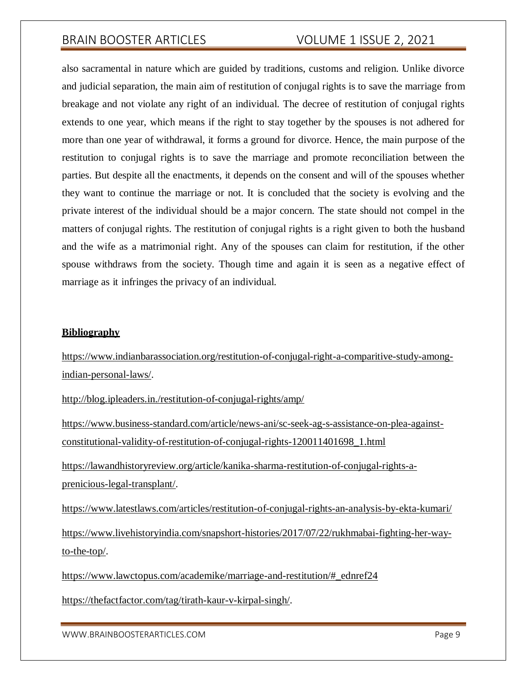also sacramental in nature which are guided by traditions, customs and religion. Unlike divorce and judicial separation, the main aim of restitution of conjugal rights is to save the marriage from breakage and not violate any right of an individual. The decree of restitution of conjugal rights extends to one year, which means if the right to stay together by the spouses is not adhered for more than one year of withdrawal, it forms a ground for divorce. Hence, the main purpose of the restitution to conjugal rights is to save the marriage and promote reconciliation between the parties. But despite all the enactments, it depends on the consent and will of the spouses whether they want to continue the marriage or not. It is concluded that the society is evolving and the private interest of the individual should be a major concern. The state should not compel in the matters of conjugal rights. The restitution of conjugal rights is a right given to both the husband and the wife as a matrimonial right. Any of the spouses can claim for restitution, if the other spouse withdraws from the society. Though time and again it is seen as a negative effect of marriage as it infringes the privacy of an individual.

### **Bibliography**

https:[//www.indianbarassociation.org/restitution-of-conjugal-right-a-comparitive-study-among](http://www.indianbarassociation.org/restitution-of-conjugal-right-a-comparitive-study-among-)indian-personal-laws/.

<http://blog.ipleaders.in./restitution-of-conjugal-rights/amp/>

[https://www.business-standard.com/article/news-ani/sc-seek-ag-s-assistance-on-plea-against](https://www.business-standard.com/article/news-ani/sc-seek-ag-s-assistance-on-plea-against-constitutional-validity-of-restitution-of-conjugal-rights-120011401698_1.html)[constitutional-validity-of-restitution-of-conjugal-rights-120011401698\\_1.html](https://www.business-standard.com/article/news-ani/sc-seek-ag-s-assistance-on-plea-against-constitutional-validity-of-restitution-of-conjugal-rights-120011401698_1.html)

[https://lawandhistoryreview.org/article/kanika-sharma-restitution-of-conjugal-rights-a](https://lawandhistoryreview.org/article/kanika-sharma-restitution-of-conjugal-rights-a-prenicious-legal-transplant/)[prenicious-legal-transplant/.](https://lawandhistoryreview.org/article/kanika-sharma-restitution-of-conjugal-rights-a-prenicious-legal-transplant/)

<https://www.latestlaws.com/articles/restitution-of-conjugal-rights-an-analysis-by-ekta-kumari/> [https://www.livehistoryindia.com/snapshort-histories/2017/07/22/rukhmabai-fighting-her-way](https://www.livehistoryindia.com/snapshort-histories/2017/07/22/rukhmabai-fighting-her-way-to-the-top/)[to-the-top/.](https://www.livehistoryindia.com/snapshort-histories/2017/07/22/rukhmabai-fighting-her-way-to-the-top/)

[https://www.lawctopus.com/academike/marriage-and-restitution/#\\_ednref24](https://www.lawctopus.com/academike/marriage-and-restitution/#_ednref24)

[https://thefactfactor.com/tag/tirath-kaur-v-kirpal-singh/.](https://thefactfactor.com/tag/tirath-kaur-v-kirpal-singh/)

[WWW.BRAINBOOSTERARTICLES.COM](http://www.brainboosterarticles.com/) extended that the control of the control of the control of the control of the control of the control of the control of the control of the control of the control of the control of the control of